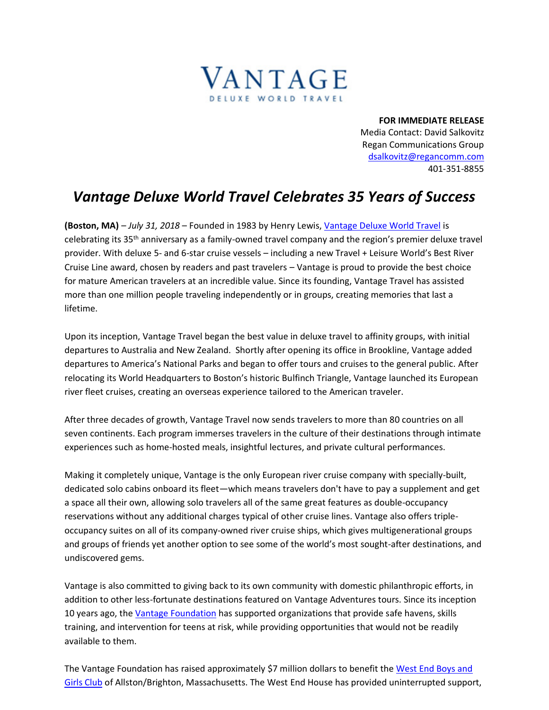

**FOR IMMEDIATE RELEASE** Media Contact: David Salkovitz Regan Communications Group [dsalkovitz@regancomm.com](mailto:dsalkovitz@regancomm.com) 401-351-8855

## *Vantage Deluxe World Travel Celebrates 35 Years of Success*

**(Boston, MA)** – *July 31, 2018* – Founded in 1983 by Henry Lewis[, Vantage Deluxe World Travel](https://www.vantagetravel.com/vantage-cares/vantage-heroes) is celebrating its 35th anniversary as a family-owned travel company and the region's premier deluxe travel provider. With deluxe 5- and 6-star cruise vessels – including a new Travel + Leisure World's Best River Cruise Line award, chosen by readers and past travelers – Vantage is proud to provide the best choice for mature American travelers at an incredible value. Since its founding, Vantage Travel has assisted more than one million people traveling independently or in groups, creating memories that last a lifetime.

Upon its inception, Vantage Travel began the best value in deluxe travel to affinity groups, with initial departures to Australia and New Zealand. Shortly after opening its office in Brookline, Vantage added departures to America's National Parks and began to offer tours and cruises to the general public. After relocating its World Headquarters to Boston's historic Bulfinch Triangle, Vantage launched its European river fleet cruises, creating an overseas experience tailored to the American traveler.

After three decades of growth, Vantage Travel now sends travelers to more than 80 countries on all seven continents. Each program immerses travelers in the culture of their destinations through intimate experiences such as home-hosted meals, insightful lectures, and private cultural performances.

Making it completely unique, Vantage is the only European river cruise company with specially-built, dedicated solo cabins onboard its fleet—which means travelers don't have to pay a supplement and get a space all their own, allowing solo travelers all of the same great features as double-occupancy reservations without any additional charges typical of other cruise lines. Vantage also offers tripleoccupancy suites on all of its company-owned river cruise ships, which gives multigenerational groups and groups of friends yet another option to see some of the world's most sought-after destinations, and undiscovered gems.

Vantage is also committed to giving back to its own community with domestic philanthropic efforts, in addition to other less-fortunate destinations featured on Vantage Adventures tours. Since its inception 10 years ago, the [Vantage Foundation](https://www.vantagetravel.com/vantage-cares/the-vantage-foundation#content) has supported organizations that provide safe havens, skills training, and intervention for teens at risk, while providing opportunities that would not be readily available to them.

The Vantage Foundation has raised approximately \$7 million dollars to benefit the [West End Boys and](https://westendhouse.org/)  [Girls Club](https://westendhouse.org/) of Allston/Brighton, Massachusetts. The West End House has provided uninterrupted support,